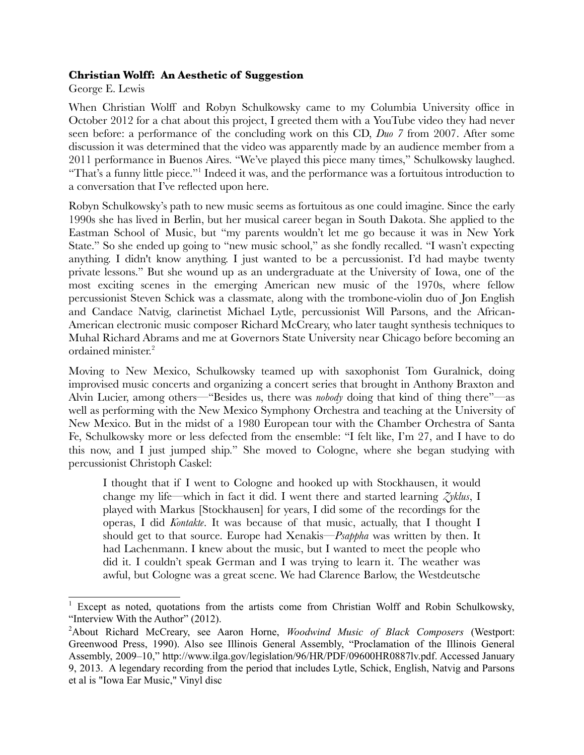### **Christian Wolff: An Aesthetic of Suggestion**

George E. Lewis

When Christian Wolff and Robyn Schulkowsky came to my Columbia University office in October 2012 for a chat about this project, I greeted them with a YouTube video they had never seen before: a performance of the concluding work on this CD, *Duo 7* from 2007. After some discussion it was determined that the video was apparently made by an audience member from a 2011 performance in Buenos Aires. "We've played this piece many times," Schulkowsky laughed. "That's a funny little piece."1 Indeed it was, and the performance was a fortuitous introduction to a conversation that I've reflected upon here.

Robyn Schulkowsky's path to new music seems as fortuitous as one could imagine. Since the early 1990s she has lived in Berlin, but her musical career began in South Dakota. She applied to the Eastman School of Music, but "my parents wouldn't let me go because it was in New York State." So she ended up going to "new music school," as she fondly recalled. "I wasn't expecting anything. I didn't know anything. I just wanted to be a percussionist. I'd had maybe twenty private lessons." But she wound up as an undergraduate at the University of Iowa, one of the most exciting scenes in the emerging American new music of the 1970s, where fellow percussionist Steven Schick was a classmate, along with the trombone-violin duo of Jon English and Candace Natvig, clarinetist Michael Lytle, percussionist Will Parsons, and the African-American electronic music composer Richard McCreary, who later taught synthesis techniques to Muhal Richard Abrams and me at Governors State University near Chicago before becoming an ordained minister.<sup>2</sup>

Moving to New Mexico, Schulkowsky teamed up with saxophonist Tom Guralnick, doing improvised music concerts and organizing a concert series that brought in Anthony Braxton and Alvin Lucier, among others—"Besides us, there was *nobody* doing that kind of thing there"—as well as performing with the New Mexico Symphony Orchestra and teaching at the University of New Mexico. But in the midst of a 1980 European tour with the Chamber Orchestra of Santa Fe, Schulkowsky more or less defected from the ensemble: "I felt like, I'm 27, and I have to do this now, and I just jumped ship." She moved to Cologne, where she began studying with percussionist Christoph Caskel:

I thought that if I went to Cologne and hooked up with Stockhausen, it would change my life—which in fact it did. I went there and started learning *Zyklus*, I played with Markus [Stockhausen] for years, I did some of the recordings for the operas, I did *Kontakte*. It was because of that music, actually, that I thought I should get to that source. Europe had Xenakis—*Psappha* was written by then. It had Lachenmann. I knew about the music, but I wanted to meet the people who did it. I couldn't speak German and I was trying to learn it. The weather was awful, but Cologne was a great scene. We had Clarence Barlow, the Westdeutsche

<sup>&</sup>lt;sup>1</sup> Except as noted, quotations from the artists come from Christian Wolff and Robin Schulkowsky, "Interview With the Author" (2012).

<sup>2</sup> About Richard McCreary, see Aaron Horne, *Woodwind Music of Black Composers* (Westport: Greenwood Press, 1990). Also see Illinois General Assembly, "Proclamation of the Illinois General Assembly, 2009–10," http://www.ilga.gov/legislation/96/HR/PDF/09600HR0887lv.pdf. Accessed January 9, 2013. A legendary recording from the period that includes Lytle, Schick, English, Natvig and Parsons et al is "Iowa Ear Music," Vinyl disc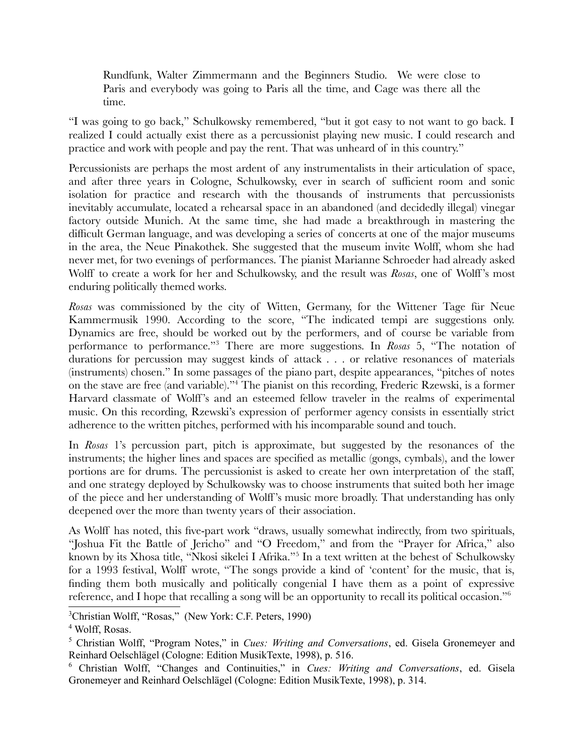Rundfunk, Walter Zimmermann and the Beginners Studio. We were close to Paris and everybody was going to Paris all the time, and Cage was there all the time.

"I was going to go back," Schulkowsky remembered, "but it got easy to not want to go back. I realized I could actually exist there as a percussionist playing new music. I could research and practice and work with people and pay the rent. That was unheard of in this country."

Percussionists are perhaps the most ardent of any instrumentalists in their articulation of space, and after three years in Cologne, Schulkowsky, ever in search of sufficient room and sonic isolation for practice and research with the thousands of instruments that percussionists inevitably accumulate, located a rehearsal space in an abandoned (and decidedly illegal) vinegar factory outside Munich. At the same time, she had made a breakthrough in mastering the difficult German language, and was developing a series of concerts at one of the major museums in the area, the Neue Pinakothek. She suggested that the museum invite Wolff, whom she had never met, for two evenings of performances. The pianist Marianne Schroeder had already asked Wolff to create a work for her and Schulkowsky, and the result was *Rosas*, one of Wolff 's most enduring politically themed works.

*Rosas* was commissioned by the city of Witten, Germany, for the Wittener Tage für Neue Kammermusik 1990. According to the score, "The indicated tempi are suggestions only. Dynamics are free, should be worked out by the performers, and of course be variable from performance to performance."3 There are more suggestions. In *Rosas* 5, "The notation of durations for percussion may suggest kinds of attack . . . or relative resonances of materials (instruments) chosen." In some passages of the piano part, despite appearances, "pitches of notes on the stave are free (and variable)."4 The pianist on this recording, Frederic Rzewski, is a former Harvard classmate of Wolff's and an esteemed fellow traveler in the realms of experimental music. On this recording, Rzewski's expression of performer agency consists in essentially strict adherence to the written pitches, performed with his incomparable sound and touch.

In *Rosas* 1's percussion part, pitch is approximate, but suggested by the resonances of the instruments; the higher lines and spaces are specified as metallic (gongs, cymbals), and the lower portions are for drums. The percussionist is asked to create her own interpretation of the staff, and one strategy deployed by Schulkowsky was to choose instruments that suited both her image of the piece and her understanding of Wolff 's music more broadly. That understanding has only deepened over the more than twenty years of their association.

As Wolff has noted, this five-part work "draws, usually somewhat indirectly, from two spirituals, "Joshua Fit the Battle of Jericho" and "O Freedom," and from the "Prayer for Africa," also known by its Xhosa title, "Nkosi sikelei I Afrika."5 In a text written at the behest of Schulkowsky for a 1993 festival, Wolff wrote, "The songs provide a kind of 'content' for the music, that is, finding them both musically and politically congenial I have them as a point of expressive reference, and I hope that recalling a song will be an opportunity to recall its political occasion."6

<sup>3</sup> Christian Wolff, "Rosas," (New York: C.F. Peters, 1990)

<sup>4</sup> Wolff, Rosas.

<sup>5</sup> Christian Wolff, "Program Notes," in *Cues: Writing and Conversations*, ed. Gisela Gronemeyer and Reinhard Oelschlägel (Cologne: Edition MusikTexte, 1998), p. 516.

<sup>6</sup> Christian Wolff, "Changes and Continuities," in *Cues: Writing and Conversations*, ed. Gisela Gronemeyer and Reinhard Oelschlägel (Cologne: Edition MusikTexte, 1998), p. 314.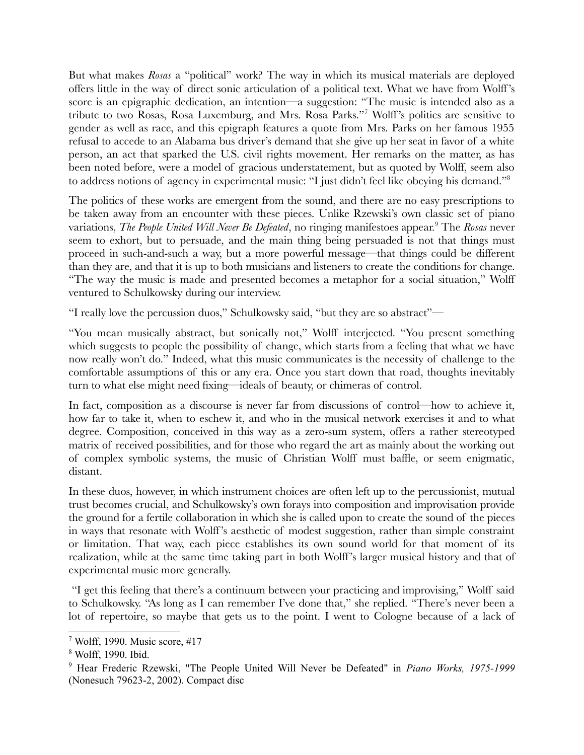But what makes *Rosas* a "political" work? The way in which its musical materials are deployed offers little in the way of direct sonic articulation of a political text. What we have from Wolff's score is an epigraphic dedication, an intention—a suggestion: "The music is intended also as a tribute to two Rosas, Rosa Luxemburg, and Mrs. Rosa Parks."7 Wolff 's politics are sensitive to gender as well as race, and this epigraph features a quote from Mrs. Parks on her famous 1955 refusal to accede to an Alabama bus driver's demand that she give up her seat in favor of a white person, an act that sparked the U.S. civil rights movement. Her remarks on the matter, as has been noted before, were a model of gracious understatement, but as quoted by Wolff, seem also to address notions of agency in experimental music: "I just didn't feel like obeying his demand."8

The politics of these works are emergent from the sound, and there are no easy prescriptions to be taken away from an encounter with these pieces. Unlike Rzewski's own classic set of piano variations, *The People United Will Never Be Defeated*, no ringing manifestoes appear.9 The *Rosas* never seem to exhort, but to persuade, and the main thing being persuaded is not that things must proceed in such-and-such a way, but a more powerful message—that things could be different than they are, and that it is up to both musicians and listeners to create the conditions for change. "The way the music is made and presented becomes a metaphor for a social situation," Wolff ventured to Schulkowsky during our interview.

"I really love the percussion duos," Schulkowsky said, "but they are so abstract"—

"You mean musically abstract, but sonically not," Wolff interjected. "You present something which suggests to people the possibility of change, which starts from a feeling that what we have now really won't do." Indeed, what this music communicates is the necessity of challenge to the comfortable assumptions of this or any era. Once you start down that road, thoughts inevitably turn to what else might need fixing—ideals of beauty, or chimeras of control.

In fact, composition as a discourse is never far from discussions of control—how to achieve it, how far to take it, when to eschew it, and who in the musical network exercises it and to what degree. Composition, conceived in this way as a zero-sum system, offers a rather stereotyped matrix of received possibilities, and for those who regard the art as mainly about the working out of complex symbolic systems, the music of Christian Wolff must baffle, or seem enigmatic, distant.

In these duos, however, in which instrument choices are often left up to the percussionist, mutual trust becomes crucial, and Schulkowsky's own forays into composition and improvisation provide the ground for a fertile collaboration in which she is called upon to create the sound of the pieces in ways that resonate with Wolff 's aesthetic of modest suggestion, rather than simple constraint or limitation. That way, each piece establishes its own sound world for that moment of its realization, while at the same time taking part in both Wolff 's larger musical history and that of experimental music more generally.

"I get this feeling that there's a continuum between your practicing and improvising," Wolff said to Schulkowsky. "As long as I can remember I've done that," she replied. "There's never been a lot of repertoire, so maybe that gets us to the point. I went to Cologne because of a lack of

<sup>7</sup> Wolff, 1990. Music score, #17

<sup>8</sup> Wolff, 1990. Ibid.

<sup>9</sup> Hear Frederic Rzewski, "The People United Will Never be Defeated" in *Piano Works, 1975-1999* (Nonesuch 79623-2, 2002). Compact disc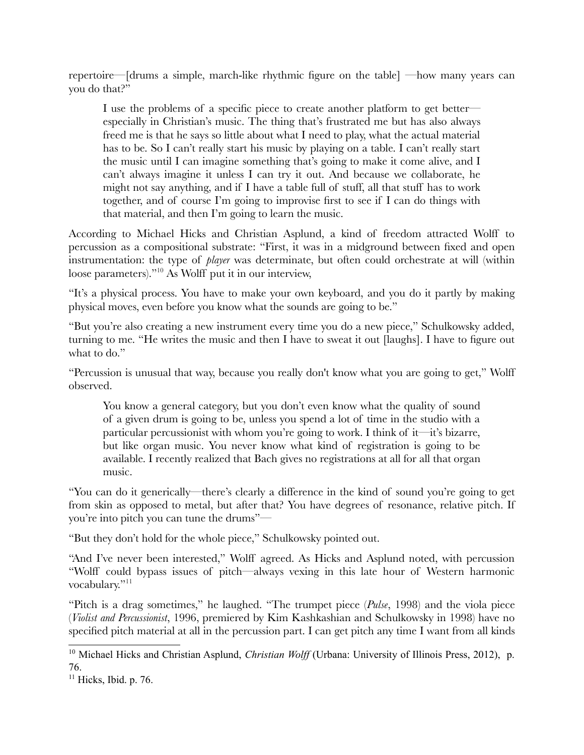repertoire—[drums a simple, march-like rhythmic figure on the table] —how many years can you do that?"

I use the problems of a specific piece to create another platform to get better especially in Christian's music. The thing that's frustrated me but has also always freed me is that he says so little about what I need to play, what the actual material has to be. So I can't really start his music by playing on a table. I can't really start the music until I can imagine something that's going to make it come alive, and I can't always imagine it unless I can try it out. And because we collaborate, he might not say anything, and if I have a table full of stuff, all that stuff has to work together, and of course I'm going to improvise first to see if I can do things with that material, and then I'm going to learn the music.

According to Michael Hicks and Christian Asplund, a kind of freedom attracted Wolff to percussion as a compositional substrate: "First, it was in a midground between fixed and open instrumentation: the type of *player* was determinate, but often could orchestrate at will (within loose parameters)."10 As Wolff put it in our interview,

"It's a physical process. You have to make your own keyboard, and you do it partly by making physical moves, even before you know what the sounds are going to be."

"But you're also creating a new instrument every time you do a new piece," Schulkowsky added, turning to me. "He writes the music and then I have to sweat it out [laughs]. I have to figure out what to do."

"Percussion is unusual that way, because you really don't know what you are going to get," Wolff observed.

You know a general category, but you don't even know what the quality of sound of a given drum is going to be, unless you spend a lot of time in the studio with a particular percussionist with whom you're going to work. I think of it—it's bizarre, but like organ music. You never know what kind of registration is going to be available. I recently realized that Bach gives no registrations at all for all that organ music.

"You can do it generically—there's clearly a difference in the kind of sound you're going to get from skin as opposed to metal, but after that? You have degrees of resonance, relative pitch. If you're into pitch you can tune the drums"—

"But they don't hold for the whole piece," Schulkowsky pointed out.

"And I've never been interested," Wolff agreed. As Hicks and Asplund noted, with percussion "Wolff could bypass issues of pitch—always vexing in this late hour of Western harmonic vocabulary."11

"Pitch is a drag sometimes," he laughed. "The trumpet piece (*Pulse*, 1998) and the viola piece (*Violist and Percussionist*, 1996, premiered by Kim Kashkashian and Schulkowsky in 1998) have no specified pitch material at all in the percussion part. I can get pitch any time I want from all kinds

<sup>&</sup>lt;sup>10</sup> Michael Hicks and Christian Asplund, *Christian Wolff* (Urbana: University of Illinois Press, 2012), p. 76.

 $<sup>11</sup>$  Hicks, Ibid. p. 76.</sup>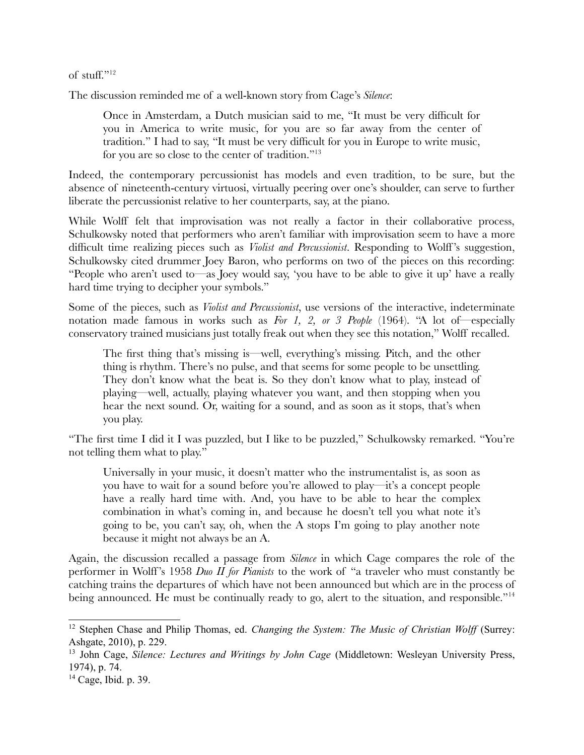of stuff."12

The discussion reminded me of a well-known story from Cage's *Silence*:

Once in Amsterdam, a Dutch musician said to me, "It must be very difficult for you in America to write music, for you are so far away from the center of tradition." I had to say, "It must be very difficult for you in Europe to write music, for you are so close to the center of tradition."<sup>13</sup>

Indeed, the contemporary percussionist has models and even tradition, to be sure, but the absence of nineteenth-century virtuosi, virtually peering over one's shoulder, can serve to further liberate the percussionist relative to her counterparts, say, at the piano.

While Wolff felt that improvisation was not really a factor in their collaborative process, Schulkowsky noted that performers who aren't familiar with improvisation seem to have a more difficult time realizing pieces such as *Violist and Percussionist*. Responding to Wolff 's suggestion, Schulkowsky cited drummer Joey Baron, who performs on two of the pieces on this recording: "People who aren't used to—as Joey would say, 'you have to be able to give it up' have a really hard time trying to decipher your symbols."

Some of the pieces, such as *Violist and Percussionist*, use versions of the interactive, indeterminate notation made famous in works such as *For 1, 2, or 3 People* (1964). "A lot of—especially conservatory trained musicians just totally freak out when they see this notation," Wolff recalled.

The first thing that's missing is—well, everything's missing. Pitch, and the other thing is rhythm. There's no pulse, and that seems for some people to be unsettling. They don't know what the beat is. So they don't know what to play, instead of playing—well, actually, playing whatever you want, and then stopping when you hear the next sound. Or, waiting for a sound, and as soon as it stops, that's when you play.

"The first time I did it I was puzzled, but I like to be puzzled," Schulkowsky remarked. "You're not telling them what to play."

Universally in your music, it doesn't matter who the instrumentalist is, as soon as you have to wait for a sound before you're allowed to play—it's a concept people have a really hard time with. And, you have to be able to hear the complex combination in what's coming in, and because he doesn't tell you what note it's going to be, you can't say, oh, when the A stops I'm going to play another note because it might not always be an A.

Again, the discussion recalled a passage from *Silence* in which Cage compares the role of the performer in Wolff's 1958 *Duo II for Pianists* to the work of "a traveler who must constantly be catching trains the departures of which have not been announced but which are in the process of being announced. He must be continually ready to go, alert to the situation, and responsible."<sup>14</sup>

<sup>12</sup> Stephen Chase and Philip Thomas, ed. *Changing the System: The Music of Christian Wolff* (Surrey: Ashgate, 2010), p. 229.

<sup>13</sup> John Cage, *Silence: Lectures and Writings by John Cage* (Middletown: Wesleyan University Press, 1974), p. 74.

 $14$  Cage, Ibid. p. 39.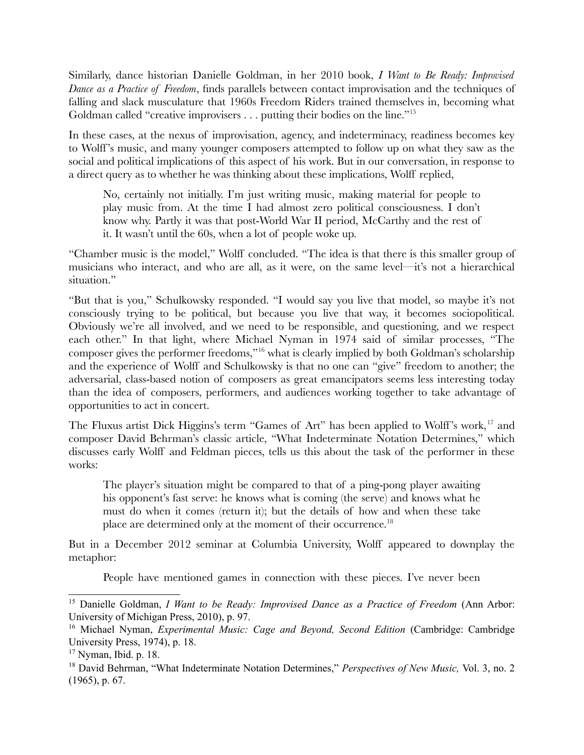Similarly, dance historian Danielle Goldman, in her 2010 book, *I Want to Be Ready: Improvised Dance as a Practice of Freedom*, finds parallels between contact improvisation and the techniques of falling and slack musculature that 1960s Freedom Riders trained themselves in, becoming what Goldman called "creative improvisers . . . putting their bodies on the line."15

In these cases, at the nexus of improvisation, agency, and indeterminacy, readiness becomes key to Wolff 's music, and many younger composers attempted to follow up on what they saw as the social and political implications of this aspect of his work. But in our conversation, in response to a direct query as to whether he was thinking about these implications, Wolff replied,

No, certainly not initially. I'm just writing music, making material for people to play music from. At the time I had almost zero political consciousness. I don't know why. Partly it was that post-World War II period, McCarthy and the rest of it. It wasn't until the 60s, when a lot of people woke up.

"Chamber music is the model," Wolff concluded. "The idea is that there is this smaller group of musicians who interact, and who are all, as it were, on the same level—it's not a hierarchical situation."

"But that is you," Schulkowsky responded. "I would say you live that model, so maybe it's not consciously trying to be political, but because you live that way, it becomes sociopolitical. Obviously we're all involved, and we need to be responsible, and questioning, and we respect each other." In that light, where Michael Nyman in 1974 said of similar processes, "The composer gives the performer freedoms,"16 what is clearly implied by both Goldman's scholarship and the experience of Wolff and Schulkowsky is that no one can "give" freedom to another; the adversarial, class-based notion of composers as great emancipators seems less interesting today than the idea of composers, performers, and audiences working together to take advantage of opportunities to act in concert.

The Fluxus artist Dick Higgins's term "Games of Art" has been applied to Wolff's work,<sup>17</sup> and composer David Behrman's classic article, "What Indeterminate Notation Determines," which discusses early Wolff and Feldman pieces, tells us this about the task of the performer in these works:

The player's situation might be compared to that of a ping-pong player awaiting his opponent's fast serve: he knows what is coming (the serve) and knows what he must do when it comes (return it); but the details of how and when these take place are determined only at the moment of their occurrence.<sup>18</sup>

But in a December 2012 seminar at Columbia University, Wolff appeared to downplay the metaphor:

People have mentioned games in connection with these pieces. I've never been

<sup>15</sup> Danielle Goldman, *I Want to be Ready: Improvised Dance as a Practice of Freedom* (Ann Arbor: University of Michigan Press, 2010), p. 97.

<sup>16</sup> Michael Nyman, *Experimental Music: Cage and Beyond, Second Edition* (Cambridge: Cambridge University Press, 1974), p. 18.

 $17$  Nyman, Ibid. p. 18.

<sup>18</sup> David Behrman, "What Indeterminate Notation Determines," *Perspectives of New Music,* Vol. 3, no. 2 (1965), p. 67.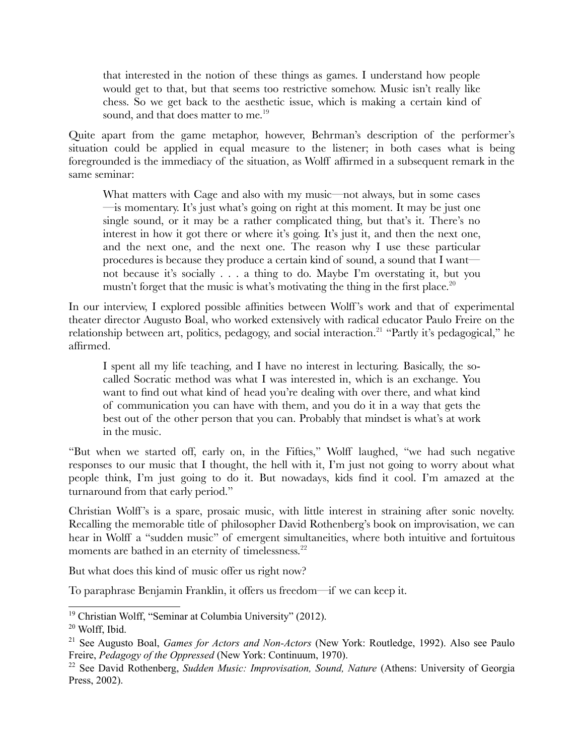that interested in the notion of these things as games. I understand how people would get to that, but that seems too restrictive somehow. Music isn't really like chess. So we get back to the aesthetic issue, which is making a certain kind of sound, and that does matter to me.<sup>19</sup>

Quite apart from the game metaphor, however, Behrman's description of the performer's situation could be applied in equal measure to the listener; in both cases what is being foregrounded is the immediacy of the situation, as Wolff affirmed in a subsequent remark in the same seminar:

What matters with Cage and also with my music—not always, but in some cases  $\frac{1}{\sqrt{2}}$  is momentary. It's just what's going on right at this moment. It may be just one single sound, or it may be a rather complicated thing, but that's it. There's no interest in how it got there or where it's going. It's just it, and then the next one, and the next one, and the next one. The reason why I use these particular procedures is because they produce a certain kind of sound, a sound that I want not because it's socially . . . a thing to do. Maybe I'm overstating it, but you mustn't forget that the music is what's motivating the thing in the first place.<sup>20</sup>

In our interview, I explored possible affinities between Wolff's work and that of experimental theater director Augusto Boal, who worked extensively with radical educator Paulo Freire on the relationship between art, politics, pedagogy, and social interaction.21 "Partly it's pedagogical," he affirmed.

I spent all my life teaching, and I have no interest in lecturing. Basically, the socalled Socratic method was what I was interested in, which is an exchange. You want to find out what kind of head you're dealing with over there, and what kind of communication you can have with them, and you do it in a way that gets the best out of the other person that you can. Probably that mindset is what's at work in the music.

"But when we started off, early on, in the Fifties," Wolff laughed, "we had such negative responses to our music that I thought, the hell with it, I'm just not going to worry about what people think, I'm just going to do it. But nowadays, kids find it cool. I'm amazed at the turnaround from that early period."

Christian Wolff 's is a spare, prosaic music, with little interest in straining after sonic novelty. Recalling the memorable title of philosopher David Rothenberg's book on improvisation, we can hear in Wolff a "sudden music" of emergent simultaneities, where both intuitive and fortuitous moments are bathed in an eternity of timelessness.<sup>22</sup>

But what does this kind of music offer us right now?

To paraphrase Benjamin Franklin, it offers us freedom—if we can keep it.

<sup>19</sup> Christian Wolff, "Seminar at Columbia University" (2012).

<sup>20</sup> Wolff, Ibid.

<sup>21</sup> See Augusto Boal, *Games for Actors and Non-Actors* (New York: Routledge, 1992). Also see Paulo Freire, *Pedagogy of the Oppressed* (New York: Continuum, 1970).

<sup>22</sup> See David Rothenberg, *Sudden Music: Improvisation, Sound, Nature* (Athens: University of Georgia Press, 2002).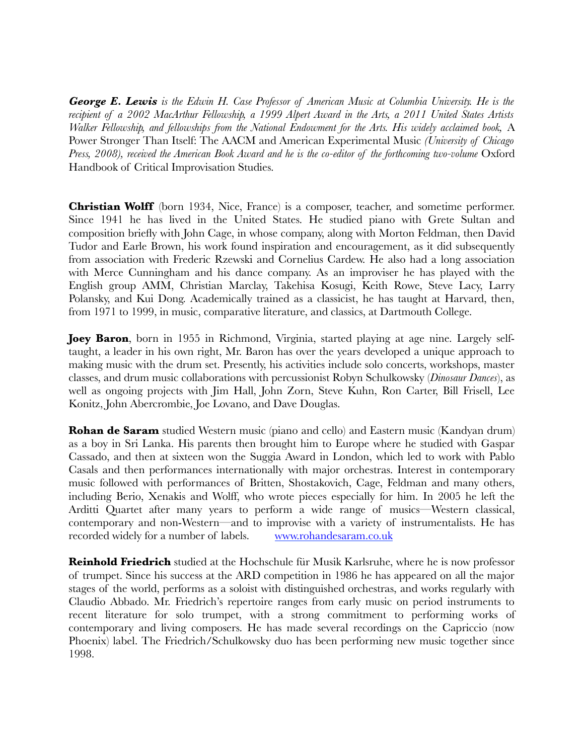*George E. Lewis is the Edwin H. Case Professor of American Music at Columbia University. He is the* recipient of a 2002 MacArthur Fellowship, a 1999 Alpert Award in the Arts, a 2011 United States Artists *Walker Fellowship, and fellowships from the National Endowment for the Arts. His widely acclaimed book,* A Power Stronger Than Itself: The AACM and American Experimental Music *(University of Chicago Press, 2008), received the American Book Award and he is the co-editor of the forthcoming two-volume* Oxford Handbook of Critical Improvisation Studies.

**Christian Wolff** (born 1934, Nice, France) is a composer, teacher, and sometime performer. Since 1941 he has lived in the United States. He studied piano with Grete Sultan and composition briefly with John Cage, in whose company, along with Morton Feldman, then David Tudor and Earle Brown, his work found inspiration and encouragement, as it did subsequently from association with Frederic Rzewski and Cornelius Cardew. He also had a long association with Merce Cunningham and his dance company. As an improviser he has played with the English group AMM, Christian Marclay, Takehisa Kosugi, Keith Rowe, Steve Lacy, Larry Polansky, and Kui Dong. Academically trained as a classicist, he has taught at Harvard, then, from 1971 to 1999, in music, comparative literature, and classics, at Dartmouth College.

**Joey Baron**, born in 1955 in Richmond, Virginia, started playing at age nine. Largely selftaught, a leader in his own right, Mr. Baron has over the years developed a unique approach to making music with the drum set. Presently, his activities include solo concerts, workshops, master classes, and drum music collaborations with percussionist Robyn Schulkowsky (*Dinosaur Dances*), as well as ongoing projects with Jim Hall, John Zorn, Steve Kuhn, Ron Carter, Bill Frisell, Lee Konitz, John Abercrombie, Joe Lovano, and Dave Douglas.

**Rohan de Saram** studied Western music (piano and cello) and Eastern music (Kandyan drum) as a boy in Sri Lanka. His parents then brought him to Europe where he studied with Gaspar Cassado, and then at sixteen won the Suggia Award in London, which led to work with Pablo Casals and then performances internationally with major orchestras. Interest in contemporary music followed with performances of Britten, Shostakovich, Cage, Feldman and many others, including Berio, Xenakis and Wolff, who wrote pieces especially for him. In 2005 he left the Arditti Quartet after many years to perform a wide range of musics—Western classical, contemporary and non-Western—and to improvise with a variety of instrumentalists. He has recorded widely for a number of labels. www.rohandesaram.co.uk

**Reinhold Friedrich** studied at the Hochschule für Musik Karlsruhe, where he is now professor of trumpet. Since his success at the ARD competition in 1986 he has appeared on all the major stages of the world, performs as a soloist with distinguished orchestras, and works regularly with Claudio Abbado. Mr. Friedrich's repertoire ranges from early music on period instruments to recent literature for solo trumpet, with a strong commitment to performing works of contemporary and living composers. He has made several recordings on the Capriccio (now Phoenix) label. The Friedrich/Schulkowsky duo has been performing new music together since 1998.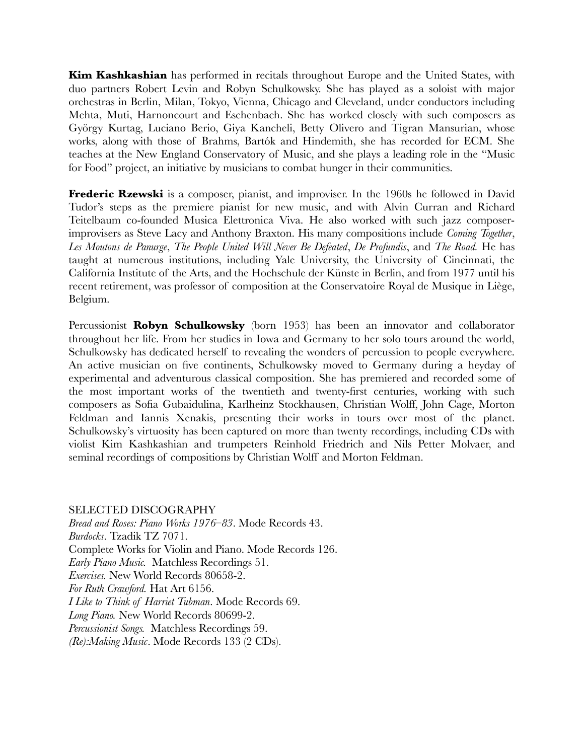**Kim Kashkashian** has performed in recitals throughout Europe and the United States, with duo partners Robert Levin and Robyn Schulkowsky. She has played as a soloist with major orchestras in Berlin, Milan, Tokyo, Vienna, Chicago and Cleveland, under conductors including Mehta, Muti, Harnoncourt and Eschenbach. She has worked closely with such composers as György Kurtag, Luciano Berio, Giya Kancheli, Betty Olivero and Tigran Mansurian, whose works, along with those of Brahms, Bartók and Hindemith, she has recorded for ECM. She teaches at the New England Conservatory of Music, and she plays a leading role in the "Music for Food" project, an initiative by musicians to combat hunger in their communities.

**Frederic Rzewski** is a composer, pianist, and improviser. In the 1960s he followed in David Tudor's steps as the premiere pianist for new music, and with Alvin Curran and Richard Teitelbaum co-founded Musica Elettronica Viva. He also worked with such jazz composerimprovisers as Steve Lacy and Anthony Braxton. His many compositions include *Coming Together*, *Les Moutons de Panurge*, *The People United Will Never Be Defeated*, *De Profundis*, and *The Road.* He has taught at numerous institutions, including Yale University, the University of Cincinnati, the California Institute of the Arts, and the Hochschule der Künste in Berlin, and from 1977 until his recent retirement, was professor of composition at the Conservatoire Royal de Musique in Liège, Belgium.

Percussionist **Robyn Schulkowsky** (born 1953) has been an innovator and collaborator throughout her life. From her studies in Iowa and Germany to her solo tours around the world, Schulkowsky has dedicated herself to revealing the wonders of percussion to people everywhere. An active musician on five continents, Schulkowsky moved to Germany during a heyday of experimental and adventurous classical composition. She has premiered and recorded some of the most important works of the twentieth and twenty-first centuries, working with such composers as Sofia Gubaidulina, Karlheinz Stockhausen, Christian Wolff, John Cage, Morton Feldman and Iannis Xenakis, presenting their works in tours over most of the planet. Schulkowsky's virtuosity has been captured on more than twenty recordings, including CDs with violist Kim Kashkashian and trumpeters Reinhold Friedrich and Nils Petter Molvaer, and seminal recordings of compositions by Christian Wolff and Morton Feldman.

SELECTED DISCOGRAPHY

*Bread and Roses: Piano Works 1976–83*. Mode Records 43. *Burdocks*. Tzadik TZ 7071. Complete Works for Violin and Piano. Mode Records 126. *Early Piano Music.* Matchless Recordings 51. *Exercises.* New World Records 80658-2. *For Ruth Crawford.* Hat Art 6156. *I Like to Think of Harriet Tubman*. Mode Records 69. *Long Piano.* New World Records 80699-2. *Percussionist Songs.* Matchless Recordings 59. *(Re):Making Music*. Mode Records 133 (2 CDs).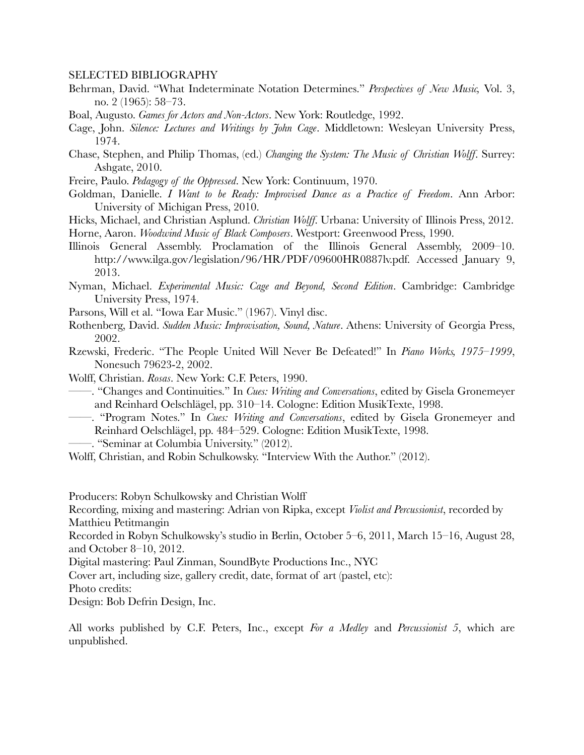#### SELECTED BIBLIOGRAPHY

- Behrman, David. "What Indeterminate Notation Determines." *Perspectives of New Music,* Vol. 3, no. 2 (1965): 58–73.
- Boal, Augusto. *Games for Actors and Non-Actors*. New York: Routledge, 1992.
- Cage, John. *Silence: Lectures and Writings by John Cage*. Middletown: Wesleyan University Press, 1974.
- Chase, Stephen, and Philip Thomas, (ed.) *Changing the System: The Music of Christian Wolff*. Surrey: Ashgate, 2010.
- Freire, Paulo. *Pedagogy of the Oppressed*. New York: Continuum, 1970.
- Goldman, Danielle. *I Want to be Ready: Improvised Dance as a Practice of Freedom*. Ann Arbor: University of Michigan Press, 2010.
- Hicks, Michael, and Christian Asplund. *Christian Wolff*. Urbana: University of Illinois Press, 2012.
- Horne, Aaron. *Woodwind Music of Black Composers*. Westport: Greenwood Press, 1990.
- Illinois General Assembly. Proclamation of the Illinois General Assembly, 2009–10. http://www.ilga.gov/legislation/96/HR/PDF/09600HR0887lv.pdf. Accessed January 9, 2013.
- Nyman, Michael. *Experimental Music: Cage and Beyond, Second Edition*. Cambridge: Cambridge University Press, 1974.
- Parsons, Will et al. "Iowa Ear Music." (1967). Vinyl disc.
- Rothenberg, David. *Sudden Music: Improvisation, Sound, Nature*. Athens: University of Georgia Press, 2002.
- Rzewski, Frederic. "The People United Will Never Be Defeated!" In *Piano Works, 1975–1999*, Nonesuch 79623-2, 2002.
- Wolff, Christian. *Rosas*. New York: C.F. Peters, 1990.
- ——. "Changes and Continuities." In *Cues: Writing and Conversations*, edited by Gisela Gronemeyer and Reinhard Oelschlägel, pp. 310–14. Cologne: Edition MusikTexte, 1998.
- ——. "Program Notes." In *Cues: Writing and Conversations*, edited by Gisela Gronemeyer and Reinhard Oelschlägel, pp. 484–529. Cologne: Edition MusikTexte, 1998.
- ——. "Seminar at Columbia University." (2012).
- Wolff, Christian, and Robin Schulkowsky. "Interview With the Author." (2012).

Producers: Robyn Schulkowsky and Christian Wolff

Recording, mixing and mastering: Adrian von Ripka, except *Violist and Percussionist*, recorded by Matthieu Petitmangin

Recorded in Robyn Schulkowsky's studio in Berlin, October 5–6, 2011, March 15–16, August 28, and October 8–10, 2012.

Digital mastering: Paul Zinman, SoundByte Productions Inc., NYC

Cover art, including size, gallery credit, date, format of art (pastel, etc):

Photo credits:

Design: Bob Defrin Design, Inc.

All works published by C.F. Peters, Inc., except *For a Medley* and *Percussionist 5*, which are unpublished.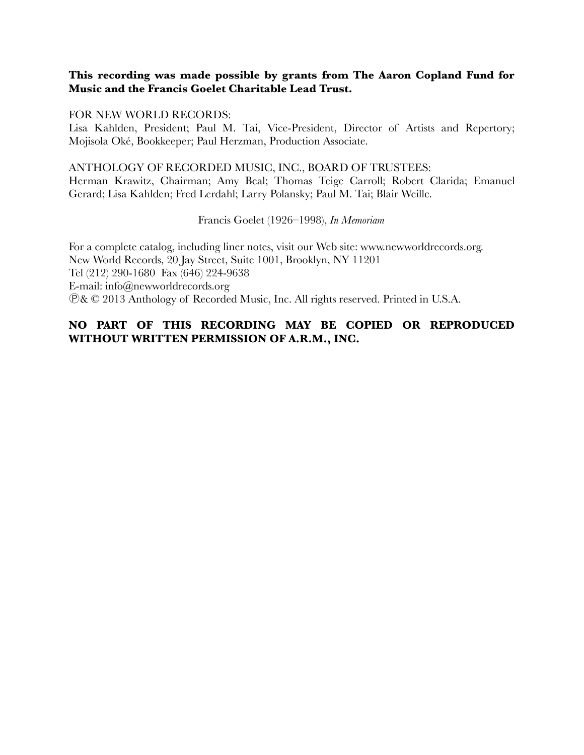## **This recording was made possible by grants from The Aaron Copland Fund for Music and the Francis Goelet Charitable Lead Trust.**

#### FOR NEW WORLD RECORDS:

Lisa Kahlden, President; Paul M. Tai, Vice-President, Director of Artists and Repertory; Mojisola Oké, Bookkeeper; Paul Herzman, Production Associate.

ANTHOLOGY OF RECORDED MUSIC, INC., BOARD OF TRUSTEES:

Herman Krawitz, Chairman; Amy Beal; Thomas Teige Carroll; Robert Clarida; Emanuel Gerard; Lisa Kahlden; Fred Lerdahl; Larry Polansky; Paul M. Tai; Blair Weille.

Francis Goelet (1926–1998), *In Memoriam*

For a complete catalog, including liner notes, visit our Web site: www.newworldrecords.org. New World Records, 20 Jay Street, Suite 1001, Brooklyn, NY 11201 Tel (212) 290-1680 Fax (646) 224-9638 E-mail: info@newworldrecords.org Ⓟ& © 2013 Anthology of Recorded Music, Inc. All rights reserved. Printed in U.S.A.

# **NO PART OF THIS RECORDING MAY BE COPIED OR REPRODUCED WITHOUT WRITTEN PERMISSION OF A.R.M., INC.**